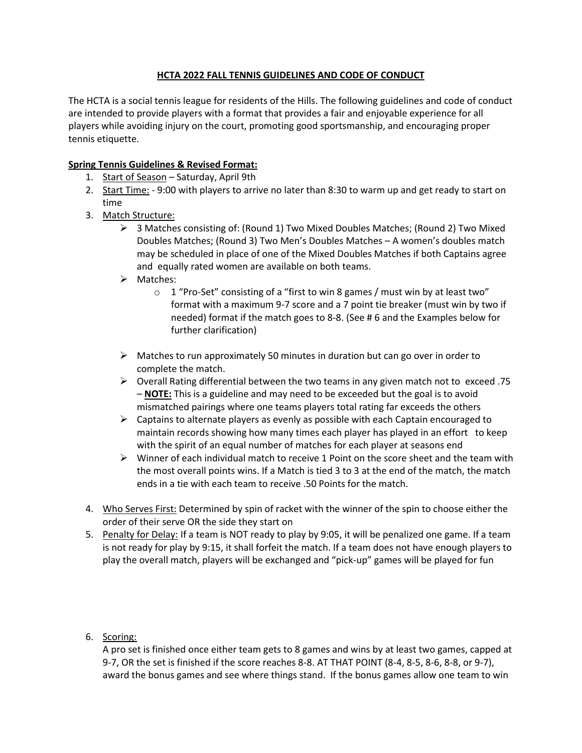## **HCTA 2022 FALL TENNIS GUIDELINES AND CODE OF CONDUCT**

The HCTA is a social tennis league for residents of the Hills. The following guidelines and code of conduct are intended to provide players with a format that provides a fair and enjoyable experience for all players while avoiding injury on the court, promoting good sportsmanship, and encouraging proper tennis etiquette.

### **Spring Tennis Guidelines & Revised Format:**

- 1. Start of Season Saturday, April 9th
- 2. Start Time: 9:00 with players to arrive no later than 8:30 to warm up and get ready to start on time
- 3. Match Structure:
	- $\triangleright$  3 Matches consisting of: (Round 1) Two Mixed Doubles Matches; (Round 2) Two Mixed Doubles Matches; (Round 3) Two Men's Doubles Matches – A women's doubles match may be scheduled in place of one of the Mixed Doubles Matches if both Captains agree and equally rated women are available on both teams.
	- ➢ Matches:
		- o 1 "Pro-Set" consisting of a "first to win 8 games / must win by at least two" format with a maximum 9-7 score and a 7 point tie breaker (must win by two if needed) format if the match goes to 8-8. (See # 6 and the Examples below for further clarification)
	- $\triangleright$  Matches to run approximately 50 minutes in duration but can go over in order to complete the match.
	- $\triangleright$  Overall Rating differential between the two teams in any given match not to exceed .75 – **NOTE:** This is a guideline and may need to be exceeded but the goal is to avoid mismatched pairings where one teams players total rating far exceeds the others
	- $\triangleright$  Captains to alternate players as evenly as possible with each Captain encouraged to maintain records showing how many times each player has played in an effort to keep with the spirit of an equal number of matches for each player at seasons end
	- $\triangleright$  Winner of each individual match to receive 1 Point on the score sheet and the team with the most overall points wins. If a Match is tied 3 to 3 at the end of the match, the match ends in a tie with each team to receive .50 Points for the match.
- 4. Who Serves First: Determined by spin of racket with the winner of the spin to choose either the order of their serve OR the side they start on
- 5. Penalty for Delay: If a team is NOT ready to play by 9:05, it will be penalized one game. If a team is not ready for play by 9:15, it shall forfeit the match. If a team does not have enough players to play the overall match, players will be exchanged and "pick-up" games will be played for fun

# 6. Scoring:

A pro set is finished once either team gets to 8 games and wins by at least two games, capped at 9-7, OR the set is finished if the score reaches 8-8. AT THAT POINT (8-4, 8-5, 8-6, 8-8, or 9-7), award the bonus games and see where things stand. If the bonus games allow one team to win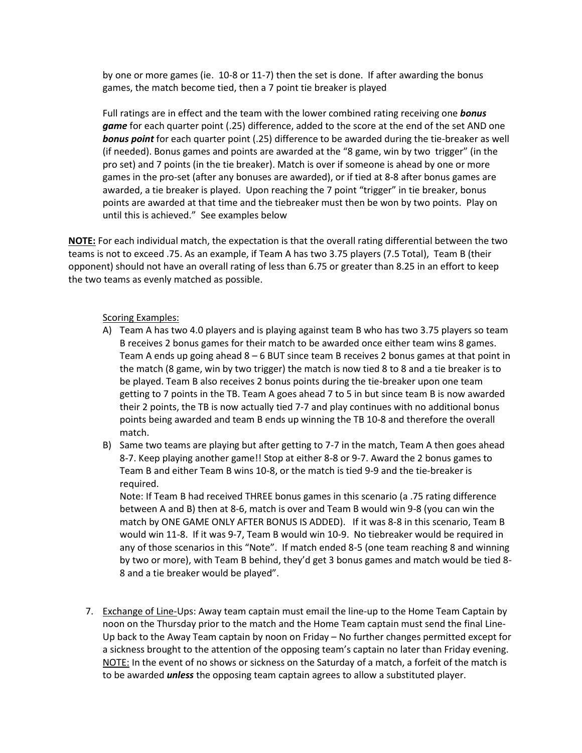by one or more games (ie. 10-8 or 11-7) then the set is done. If after awarding the bonus games, the match become tied, then a 7 point tie breaker is played

Full ratings are in effect and the team with the lower combined rating receiving one *bonus game* for each quarter point (.25) difference, added to the score at the end of the set AND one *bonus point* for each quarter point (.25) difference to be awarded during the tie-breaker as well (if needed). Bonus games and points are awarded at the "8 game, win by two trigger" (in the pro set) and 7 points (in the tie breaker). Match is over if someone is ahead by one or more games in the pro-set (after any bonuses are awarded), or if tied at 8-8 after bonus games are awarded, a tie breaker is played. Upon reaching the 7 point "trigger" in tie breaker, bonus points are awarded at that time and the tiebreaker must then be won by two points. Play on until this is achieved." See examples below

**NOTE:** For each individual match, the expectation is that the overall rating differential between the two teams is not to exceed .75. As an example, if Team A has two 3.75 players (7.5 Total), Team B (their opponent) should not have an overall rating of less than 6.75 or greater than 8.25 in an effort to keep the two teams as evenly matched as possible.

#### Scoring Examples:

- A) Team A has two 4.0 players and is playing against team B who has two 3.75 players so team B receives 2 bonus games for their match to be awarded once either team wins 8 games. Team A ends up going ahead 8 – 6 BUT since team B receives 2 bonus games at that point in the match (8 game, win by two trigger) the match is now tied 8 to 8 and a tie breaker is to be played. Team B also receives 2 bonus points during the tie-breaker upon one team getting to 7 points in the TB. Team A goes ahead 7 to 5 in but since team B is now awarded their 2 points, the TB is now actually tied 7-7 and play continues with no additional bonus points being awarded and team B ends up winning the TB 10-8 and therefore the overall match.
- B) Same two teams are playing but after getting to 7-7 in the match, Team A then goes ahead 8-7. Keep playing another game!! Stop at either 8-8 or 9-7. Award the 2 bonus games to Team B and either Team B wins 10-8, or the match is tied 9-9 and the tie-breaker is required.

Note: If Team B had received THREE bonus games in this scenario (a .75 rating difference between A and B) then at 8-6, match is over and Team B would win 9-8 (you can win the match by ONE GAME ONLY AFTER BONUS IS ADDED). If it was 8-8 in this scenario, Team B would win 11-8. If it was 9-7, Team B would win 10-9. No tiebreaker would be required in any of those scenarios in this "Note". If match ended 8-5 (one team reaching 8 and winning by two or more), with Team B behind, they'd get 3 bonus games and match would be tied 8- 8 and a tie breaker would be played".

7. Exchange of Line-Ups: Away team captain must email the line-up to the Home Team Captain by noon on the Thursday prior to the match and the Home Team captain must send the final Line-Up back to the Away Team captain by noon on Friday – No further changes permitted except for a sickness brought to the attention of the opposing team's captain no later than Friday evening. NOTE: In the event of no shows or sickness on the Saturday of a match, a forfeit of the match is to be awarded *unless* the opposing team captain agrees to allow a substituted player.